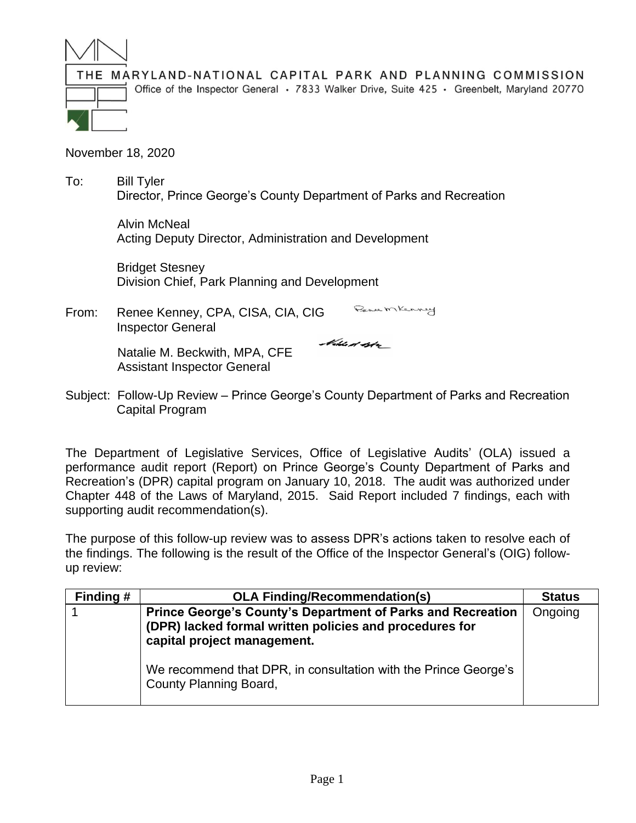

Office of the Inspector General • 7833 Walker Drive, Suite 425 • Greenbelt, Maryland 20770

November 18, 2020

To: Bill Tyler Director, Prince George's County Department of Parks and Recreation

> Alvin McNeal Acting Deputy Director, Administration and Development

Bridget Stesney Division Chief, Park Planning and Development

Bence Mkenney From: Renee Kenney, CPA, CISA, CIA, CIG Inspector General

> Natalie M. Beckwith, MPA, CFE Assistant Inspector General

Noble et byter

Subject: Follow-Up Review – Prince George's County Department of Parks and Recreation Capital Program

The Department of Legislative Services, Office of Legislative Audits' (OLA) issued a performance audit report (Report) on Prince George's County Department of Parks and Recreation's (DPR) capital program on January 10, 2018. The audit was authorized under Chapter 448 of the Laws of Maryland, 2015. Said Report included 7 findings, each with supporting audit recommendation(s).

The purpose of this follow-up review was to assess DPR's actions taken to resolve each of the findings. The following is the result of the Office of the Inspector General's (OIG) followup review:

| Finding # | <b>OLA Finding/Recommendation(s)</b>                                                                                                                         | <b>Status</b> |
|-----------|--------------------------------------------------------------------------------------------------------------------------------------------------------------|---------------|
|           | <b>Prince George's County's Department of Parks and Recreation</b><br>(DPR) lacked formal written policies and procedures for<br>capital project management. | Ongoing       |
|           | We recommend that DPR, in consultation with the Prince George's<br>County Planning Board,                                                                    |               |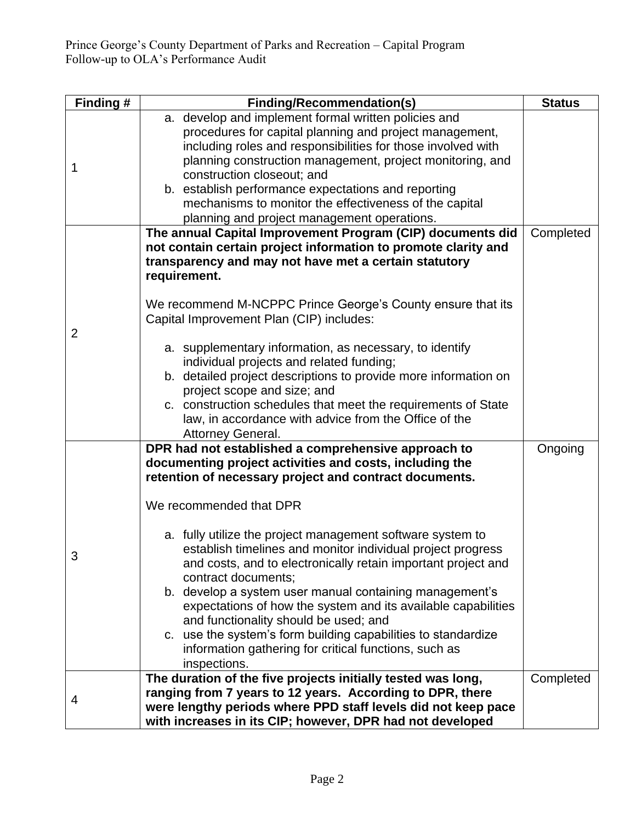| Finding # | <b>Finding/Recommendation(s)</b>                                                                                                                                                                                                                                                                                                                                                                                                                                                                                                                                                                                                                                                                                                        | <b>Status</b> |
|-----------|-----------------------------------------------------------------------------------------------------------------------------------------------------------------------------------------------------------------------------------------------------------------------------------------------------------------------------------------------------------------------------------------------------------------------------------------------------------------------------------------------------------------------------------------------------------------------------------------------------------------------------------------------------------------------------------------------------------------------------------------|---------------|
| 1         | a. develop and implement formal written policies and<br>procedures for capital planning and project management,<br>including roles and responsibilities for those involved with<br>planning construction management, project monitoring, and<br>construction closeout; and<br>b. establish performance expectations and reporting<br>mechanisms to monitor the effectiveness of the capital<br>planning and project management operations.                                                                                                                                                                                                                                                                                              |               |
| 2         | The annual Capital Improvement Program (CIP) documents did<br>not contain certain project information to promote clarity and<br>transparency and may not have met a certain statutory<br>requirement.<br>We recommend M-NCPPC Prince George's County ensure that its<br>Capital Improvement Plan (CIP) includes:<br>a. supplementary information, as necessary, to identify<br>individual projects and related funding;<br>b. detailed project descriptions to provide more information on<br>project scope and size; and<br>c. construction schedules that meet the requirements of State<br>law, in accordance with advice from the Office of the<br>Attorney General.                                                                | Completed     |
| 3         | DPR had not established a comprehensive approach to<br>documenting project activities and costs, including the<br>retention of necessary project and contract documents.<br>We recommended that DPR<br>a. fully utilize the project management software system to<br>establish timelines and monitor individual project progress<br>and costs, and to electronically retain important project and<br>contract documents;<br>b. develop a system user manual containing management's<br>expectations of how the system and its available capabilities<br>and functionality should be used; and<br>c. use the system's form building capabilities to standardize<br>information gathering for critical functions, such as<br>inspections. | Ongoing       |
| 4         | The duration of the five projects initially tested was long,<br>ranging from 7 years to 12 years. According to DPR, there<br>were lengthy periods where PPD staff levels did not keep pace<br>with increases in its CIP; however, DPR had not developed                                                                                                                                                                                                                                                                                                                                                                                                                                                                                 | Completed     |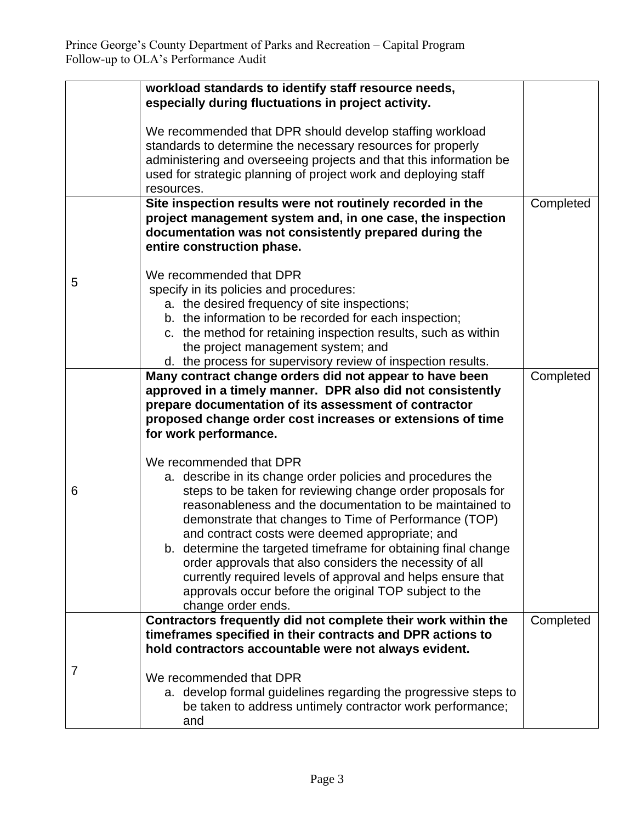|   | workload standards to identify staff resource needs,                                                                  |           |
|---|-----------------------------------------------------------------------------------------------------------------------|-----------|
|   | especially during fluctuations in project activity.                                                                   |           |
|   | We recommended that DPR should develop staffing workload                                                              |           |
|   | standards to determine the necessary resources for properly                                                           |           |
|   | administering and overseeing projects and that this information be                                                    |           |
|   | used for strategic planning of project work and deploying staff                                                       |           |
|   | resources.                                                                                                            |           |
|   | Site inspection results were not routinely recorded in the                                                            | Completed |
|   | project management system and, in one case, the inspection                                                            |           |
|   | documentation was not consistently prepared during the<br>entire construction phase.                                  |           |
|   |                                                                                                                       |           |
|   | We recommended that DPR                                                                                               |           |
| 5 | specify in its policies and procedures:                                                                               |           |
|   | a. the desired frequency of site inspections;                                                                         |           |
|   | b. the information to be recorded for each inspection;                                                                |           |
|   | c. the method for retaining inspection results, such as within                                                        |           |
|   | the project management system; and                                                                                    |           |
|   | d. the process for supervisory review of inspection results.                                                          |           |
|   | Many contract change orders did not appear to have been                                                               | Completed |
|   | approved in a timely manner. DPR also did not consistently                                                            |           |
|   | prepare documentation of its assessment of contractor<br>proposed change order cost increases or extensions of time   |           |
|   | for work performance.                                                                                                 |           |
|   |                                                                                                                       |           |
|   | We recommended that DPR                                                                                               |           |
|   | a. describe in its change order policies and procedures the                                                           |           |
| 6 | steps to be taken for reviewing change order proposals for                                                            |           |
|   | reasonableness and the documentation to be maintained to                                                              |           |
|   | demonstrate that changes to Time of Performance (TOP)                                                                 |           |
|   | and contract costs were deemed appropriate; and                                                                       |           |
|   | b. determine the targeted timeframe for obtaining final change                                                        |           |
|   | order approvals that also considers the necessity of all                                                              |           |
|   | currently required levels of approval and helps ensure that<br>approvals occur before the original TOP subject to the |           |
|   | change order ends.                                                                                                    |           |
|   | Contractors frequently did not complete their work within the                                                         | Completed |
|   | timeframes specified in their contracts and DPR actions to                                                            |           |
|   | hold contractors accountable were not always evident.                                                                 |           |
| 7 |                                                                                                                       |           |
|   | We recommended that DPR                                                                                               |           |
|   | a. develop formal guidelines regarding the progressive steps to                                                       |           |
|   | be taken to address untimely contractor work performance;                                                             |           |
|   | and                                                                                                                   |           |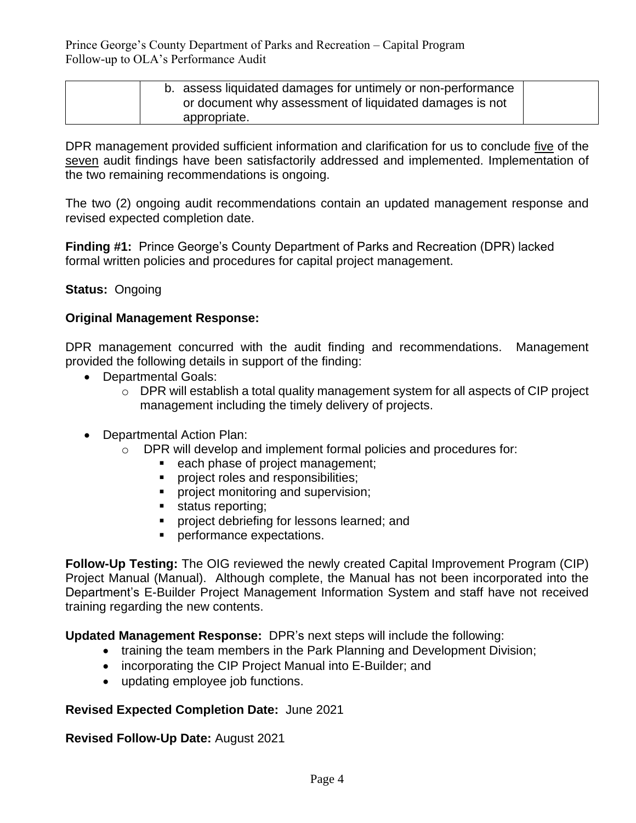Prince George's County Department of Parks and Recreation – Capital Program Follow-up to OLA's Performance Audit

| b. assess liquidated damages for untimely or non-performance |  |
|--------------------------------------------------------------|--|
| or document why assessment of liquidated damages is not      |  |
| appropriate.                                                 |  |

DPR management provided sufficient information and clarification for us to conclude five of the seven audit findings have been satisfactorily addressed and implemented. Implementation of the two remaining recommendations is ongoing.

The two (2) ongoing audit recommendations contain an updated management response and revised expected completion date.

**Finding #1:** Prince George's County Department of Parks and Recreation (DPR) lacked formal written policies and procedures for capital project management.

## **Status:** Ongoing

## **Original Management Response:**

DPR management concurred with the audit finding and recommendations. Management provided the following details in support of the finding:

- Departmental Goals:
	- o DPR will establish a total quality management system for all aspects of CIP project management including the timely delivery of projects.
- Departmental Action Plan:
	- o DPR will develop and implement formal policies and procedures for:
		- each phase of project management;
		- project roles and responsibilities;
		- **•** project monitoring and supervision;
		- status reporting;
		- project debriefing for lessons learned; and
		- **•** performance expectations.

**Follow-Up Testing:** The OIG reviewed the newly created Capital Improvement Program (CIP) Project Manual (Manual). Although complete, the Manual has not been incorporated into the Department's E-Builder Project Management Information System and staff have not received training regarding the new contents.

**Updated Management Response:** DPR's next steps will include the following:

- training the team members in the Park Planning and Development Division;
- incorporating the CIP Project Manual into E-Builder; and
- updating employee job functions.

## **Revised Expected Completion Date:** June 2021

#### **Revised Follow-Up Date:** August 2021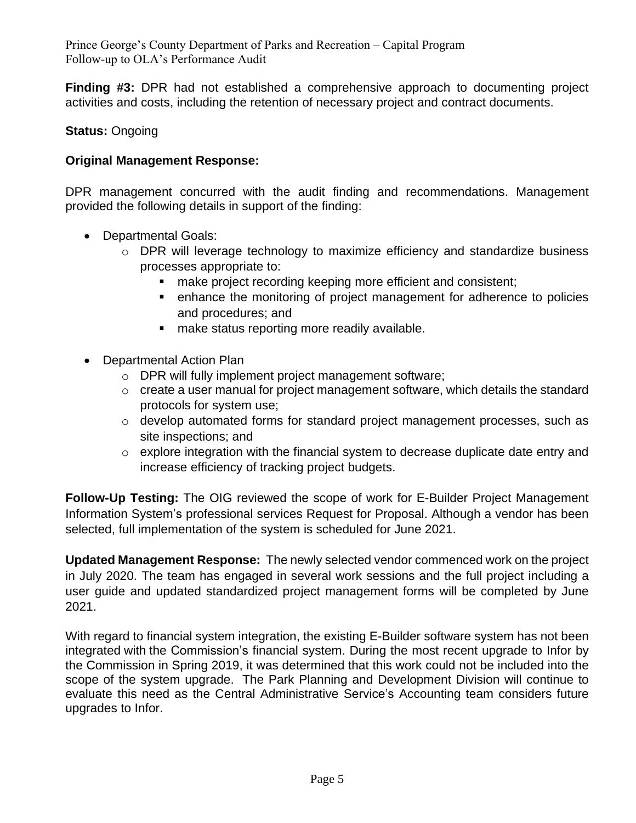Prince George's County Department of Parks and Recreation – Capital Program Follow-up to OLA's Performance Audit

**Finding #3:** DPR had not established a comprehensive approach to documenting project activities and costs, including the retention of necessary project and contract documents.

# **Status:** Ongoing

## **Original Management Response:**

DPR management concurred with the audit finding and recommendations. Management provided the following details in support of the finding:

- Departmental Goals:
	- o DPR will leverage technology to maximize efficiency and standardize business processes appropriate to:
		- make project recording keeping more efficient and consistent;
		- enhance the monitoring of project management for adherence to policies and procedures; and
		- make status reporting more readily available.
- Departmental Action Plan
	- o DPR will fully implement project management software;
	- $\circ$  create a user manual for project management software, which details the standard protocols for system use;
	- $\circ$  develop automated forms for standard project management processes, such as site inspections; and
	- o explore integration with the financial system to decrease duplicate date entry and increase efficiency of tracking project budgets.

**Follow-Up Testing:** The OIG reviewed the scope of work for E-Builder Project Management Information System's professional services Request for Proposal. Although a vendor has been selected, full implementation of the system is scheduled for June 2021.

**Updated Management Response:** The newly selected vendor commenced work on the project in July 2020. The team has engaged in several work sessions and the full project including a user guide and updated standardized project management forms will be completed by June 2021.

With regard to financial system integration, the existing E-Builder software system has not been integrated with the Commission's financial system. During the most recent upgrade to Infor by the Commission in Spring 2019, it was determined that this work could not be included into the scope of the system upgrade. The Park Planning and Development Division will continue to evaluate this need as the Central Administrative Service's Accounting team considers future upgrades to Infor.